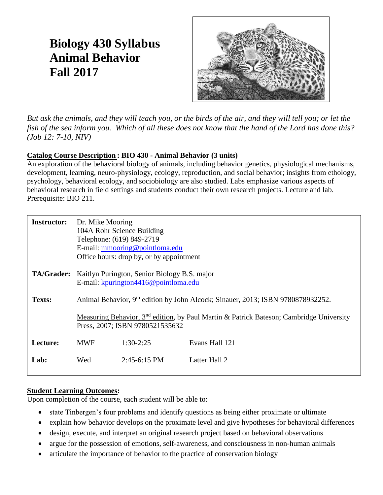# **Biology 430 Syllabus Animal Behavior Fall 2017**



*But ask the animals, and they will teach you, or the birds of the air, and they will tell you; or let the fish of the sea inform you. Which of all these does not know that the hand of the Lord has done this? (Job 12: 7-10, NIV)*

#### **Catalog Course Description : BIO 430 - Animal Behavior (3 units)**

An exploration of the behavioral biology of animals, including behavior genetics, physiological mechanisms, development, learning, neuro-physiology, ecology, reproduction, and social behavior; insights from ethology, psychology, behavioral ecology, and sociobiology are also studied. Labs emphasize various aspects of behavioral research in field settings and students conduct their own research projects. Lecture and lab. Prerequisite: BIO 211.

| <b>Instructor:</b> | Dr. Mike Mooring                                                                     | 104A Rohr Science Building<br>Telephone: (619) 849-2719<br>E-mail: mmooring@pointloma.edu<br>Office hours: drop by, or by appointment |                                                                                                     |
|--------------------|--------------------------------------------------------------------------------------|---------------------------------------------------------------------------------------------------------------------------------------|-----------------------------------------------------------------------------------------------------|
| <b>TA/Grader:</b>  | Kaitlyn Purington, Senior Biology B.S. major<br>E-mail: kpurington4416@pointloma.edu |                                                                                                                                       |                                                                                                     |
| Texts:             |                                                                                      |                                                                                                                                       | Animal Behavior, 9 <sup>th</sup> edition by John Alcock; Sinauer, 2013; ISBN 9780878932252.         |
|                    |                                                                                      | Press, 2007; ISBN 9780521535632                                                                                                       | Measuring Behavior, 3 <sup>nd</sup> edition, by Paul Martin & Patrick Bateson; Cambridge University |
| Lecture:           | <b>MWF</b>                                                                           | $1:30-2:25$                                                                                                                           | Evans Hall 121                                                                                      |
| Lab:               | Wed                                                                                  | $2:45-6:15$ PM                                                                                                                        | Latter Hall 2                                                                                       |

#### **Student Learning Outcomes:**

Upon completion of the course, each student will be able to:

- state Tinbergen's four problems and identify questions as being either proximate or ultimate
- explain how behavior develops on the proximate level and give hypotheses for behavioral differences
- design, execute, and interpret an original research project based on behavioral observations
- argue for the possession of emotions, self-awareness, and consciousness in non-human animals
- articulate the importance of behavior to the practice of conservation biology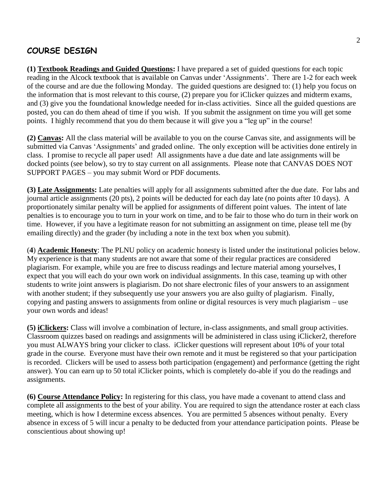### **COURSE DESIGN**

**(1) Textbook Readings and Guided Questions:** I have prepared a set of guided questions for each topic reading in the Alcock textbook that is available on Canvas under 'Assignments'. There are 1-2 for each week of the course and are due the following Monday. The guided questions are designed to: (1) help you focus on the information that is most relevant to this course, (2) prepare you for iClicker quizzes and midterm exams, and (3) give you the foundational knowledge needed for in-class activities. Since all the guided questions are posted, you can do them ahead of time if you wish. If you submit the assignment on time you will get some points. I highly recommend that you do them because it will give you a "leg up" in the course!

**(2) Canvas:** All the class material will be available to you on the course Canvas site, and assignments will be submitted via Canvas 'Assignments' and graded online. The only exception will be activities done entirely in class. I promise to recycle all paper used! All assignments have a due date and late assignments will be docked points (see below), so try to stay current on all assignments. Please note that CANVAS DOES NOT SUPPORT PAGES – you may submit Word or PDF documents.

**(3) Late Assignments:** Late penalties will apply for all assignments submitted after the due date. For labs and journal article assignments (20 pts), 2 points will be deducted for each day late (no points after 10 days). A proportionately similar penalty will be applied for assignments of different point values. The intent of late penalties is to encourage you to turn in your work on time, and to be fair to those who do turn in their work on time. However, if you have a legitimate reason for not submitting an assignment on time, please tell me (by emailing directly) and the grader (by including a note in the text box when you submit).

(**4**) **Academic Honesty**: The PLNU policy on academic honesty is listed under the institutional policies below. My experience is that many students are not aware that some of their regular practices are considered plagiarism. For example, while you are free to discuss readings and lecture material among yourselves, I expect that you will each do your own work on individual assignments. In this case, teaming up with other students to write joint answers is plagiarism. Do not share electronic files of your answers to an assignment with another student; if they subsequently use your answers you are also guilty of plagiarism. Finally, copying and pasting answers to assignments from online or digital resources is very much plagiarism – use your own words and ideas!

**(5) iClickers:** Class will involve a combination of lecture, in-class assignments, and small group activities. Classroom quizzes based on readings and assignments will be administered in class using iClicker2, therefore you must ALWAYS bring your clicker to class. iClicker questions will represent about 10% of your total grade in the course. Everyone must have their own remote and it must be registered so that your participation is recorded. Clickers will be used to assess both participation (engagement) and performance (getting the right answer). You can earn up to 50 total iClicker points, which is completely do-able if you do the readings and assignments.

**(6) Course Attendance Policy:** In registering for this class, you have made a covenant to attend class and complete all assignments to the best of your ability. You are required to sign the attendance roster at each class meeting, which is how I determine excess absences. You are permitted 5 absences without penalty. Every absence in excess of 5 will incur a penalty to be deducted from your attendance participation points. Please be conscientious about showing up!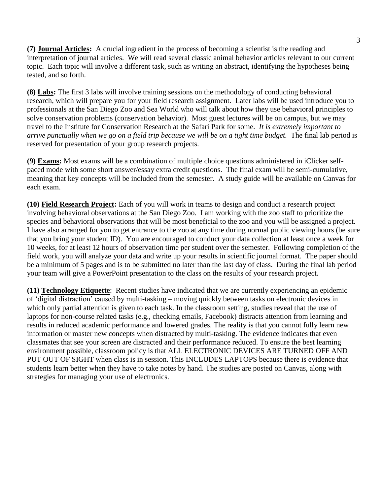**(7) Journal Articles:** A crucial ingredient in the process of becoming a scientist is the reading and interpretation of journal articles. We will read several classic animal behavior articles relevant to our current topic. Each topic will involve a different task, such as writing an abstract, identifying the hypotheses being tested, and so forth.

**(8) Labs:** The first 3 labs will involve training sessions on the methodology of conducting behavioral research, which will prepare you for your field research assignment. Later labs will be used introduce you to professionals at the San Diego Zoo and Sea World who will talk about how they use behavioral principles to solve conservation problems (conservation behavior). Most guest lectures will be on campus, but we may travel to the Institute for Conservation Research at the Safari Park for some. *It is extremely important to arrive punctually when we go on a field trip because we will be on a tight time budget.* The final lab period is reserved for presentation of your group research projects.

**(9) Exams:** Most exams will be a combination of multiple choice questions administered in iClicker selfpaced mode with some short answer/essay extra credit questions. The final exam will be semi-cumulative, meaning that key concepts will be included from the semester. A study guide will be available on Canvas for each exam.

**(10) Field Research Project:** Each of you will work in teams to design and conduct a research project involving behavioral observations at the San Diego Zoo. I am working with the zoo staff to prioritize the species and behavioral observations that will be most beneficial to the zoo and you will be assigned a project. I have also arranged for you to get entrance to the zoo at any time during normal public viewing hours (be sure that you bring your student ID). You are encouraged to conduct your data collection at least once a week for 10 weeks, for at least 12 hours of observation time per student over the semester. Following completion of the field work, you will analyze your data and write up your results in scientific journal format. The paper should be a minimum of 5 pages and is to be submitted no later than the last day of class. During the final lab period your team will give a PowerPoint presentation to the class on the results of your research project.

**(11) Technology Etiquette**: Recent studies have indicated that we are currently experiencing an epidemic of 'digital distraction' caused by multi-tasking – moving quickly between tasks on electronic devices in which only partial attention is given to each task. In the classroom setting, studies reveal that the use of laptops for non-course related tasks (e.g., checking emails, Facebook) distracts attention from learning and results in reduced academic performance and lowered grades. The reality is that you cannot fully learn new information or master new concepts when distracted by multi-tasking. The evidence indicates that even classmates that see your screen are distracted and their performance reduced. To ensure the best learning environment possible, classroom policy is that ALL ELECTRONIC DEVICES ARE TURNED OFF AND PUT OUT OF SIGHT when class is in session. This INCLUDES LAPTOPS because there is evidence that students learn better when they have to take notes by hand. The studies are posted on Canvas, along with strategies for managing your use of electronics.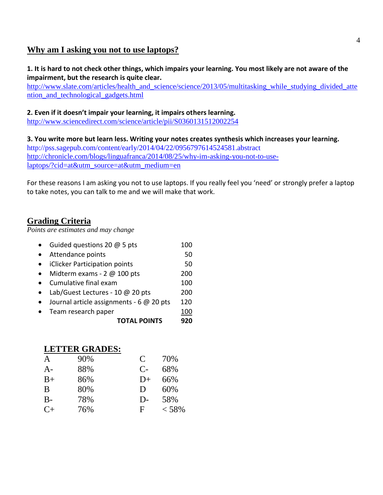#### **Why am I asking you not to use laptops?**

#### **1. It is hard to not check other things, which impairs your learning. You most likely are not aware of the impairment, but the research is quite clear.**

[http://www.slate.com/articles/health\\_and\\_science/science/2013/05/multitasking\\_while\\_studying\\_divided\\_atte](http://www.slate.com/articles/health_and_science/science/2013/05/multitasking_while_studying_divided_attention_and_technological_gadgets.html) [ntion\\_and\\_technological\\_gadgets.html](http://www.slate.com/articles/health_and_science/science/2013/05/multitasking_while_studying_divided_attention_and_technological_gadgets.html)

#### **2. Even if it doesn't impair your learning, it impairs others learning.**

<http://www.sciencedirect.com/science/article/pii/S0360131512002254>

**3. You write more but learn less. Writing your notes creates synthesis which increases your learning.**  http://pss.sagepub.com/content/early/2014/04/22/0956797614524581.abstract [http://chronicle.com/blogs/linguafranca/2014/08/25/why-im-asking-you-not-to-use](http://chronicle.com/blogs/linguafranca/2014/08/25/why-im-asking-you-not-to-use-laptops/?cid=at&utm_source=at&utm_medium=en)[laptops/?cid=at&utm\\_source=at&utm\\_medium=en](http://chronicle.com/blogs/linguafranca/2014/08/25/why-im-asking-you-not-to-use-laptops/?cid=at&utm_source=at&utm_medium=en)

For these reasons I am asking you not to use laptops. If you really feel you 'need' or strongly prefer a laptop to take notes, you can talk to me and we will make that work.

#### **Grading Criteria**

*Points are estimates and may change*

| <b>TOTAL POINTS</b>                      |     |
|------------------------------------------|-----|
| Team research paper                      | 100 |
| Journal article assignments - 6 @ 20 pts | 120 |
| Lab/Guest Lectures - 10 @ 20 pts         | 200 |
| Cumulative final exam                    | 100 |
| Midterm exams - $2 \text{ } @$ 100 pts   | 200 |
| iClicker Participation points            | 50  |
| Attendance points                        | 50  |
| Guided questions 20 @ 5 pts              | 100 |

#### **LETTER GRADES:**

| A    | 90% | C           | 70%   |
|------|-----|-------------|-------|
| $A-$ | 88% | $C-$        | 68%   |
| $B+$ | 86% | $D+$        | 66%   |
| B    | 80% | D           | 60%   |
| $B-$ | 78% | $D-$        | 58%   |
| $C+$ | 76% | $\mathbf F$ | < 58% |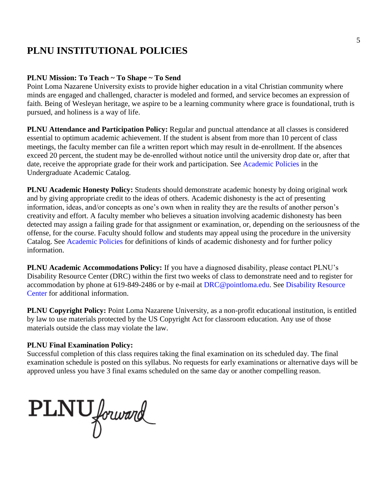## **PLNU INSTITUTIONAL POLICIES**

#### **PLNU Mission: To Teach ~ To Shape ~ To Send**

Point Loma Nazarene University exists to provide higher education in a vital Christian community where minds are engaged and challenged, character is modeled and formed, and service becomes an expression of faith. Being of Wesleyan heritage, we aspire to be a learning community where grace is foundational, truth is pursued, and holiness is a way of life.

**PLNU Attendance and Participation Policy:** Regular and punctual attendance at all classes is considered essential to optimum academic achievement. If the student is absent from more than 10 percent of class meetings, the faculty member can file a written report which may result in de-enrollment. If the absences exceed 20 percent, the student may be de-enrolled without notice until the university drop date or, after that date, receive the appropriate grade for their work and participation. See Academic Policies in the Undergraduate Academic Catalog.

**PLNU Academic Honesty Policy:** Students should demonstrate academic honesty by doing original work and by giving appropriate credit to the ideas of others. Academic dishonesty is the act of presenting information, ideas, and/or concepts as one's own when in reality they are the results of another person's creativity and effort. A faculty member who believes a situation involving academic dishonesty has been detected may assign a failing grade for that assignment or examination, or, depending on the seriousness of the offense, for the course. Faculty should follow and students may appeal using the procedure in the university Catalog. See Academic Policies for definitions of kinds of academic dishonesty and for further policy information.

**PLNU Academic Accommodations Policy:** If you have a diagnosed disability, please contact PLNU's Disability Resource Center (DRC) within the first two weeks of class to demonstrate need and to register for accommodation by phone at 619-849-2486 or by e-mail at DRC@pointloma.edu. See Disability Resource Center for additional information.

**PLNU Copyright Policy:** Point Loma Nazarene University, as a non-profit educational institution, is entitled by law to use materials protected by the US Copyright Act for classroom education. Any use of those materials outside the class may violate the law.

#### **PLNU Final Examination Policy:**

Successful completion of this class requires taking the final examination on its scheduled day. The final examination schedule is posted on this syllabus. No requests for early examinations or alternative days will be approved unless you have 3 final exams scheduled on the same day or another compelling reason.

PLNU forward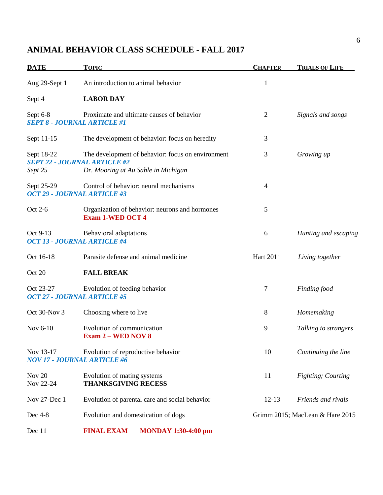### **ANIMAL BEHAVIOR CLASS SCHEDULE - FALL 2017**

| <b>DATE</b>           | <b>TOPIC</b>                                                                                                                    | <b>CHAPTER</b>   | <b>TRIALS OF LIFE</b>           |
|-----------------------|---------------------------------------------------------------------------------------------------------------------------------|------------------|---------------------------------|
| Aug 29-Sept 1         | An introduction to animal behavior                                                                                              | $\mathbf{1}$     |                                 |
| Sept 4                | <b>LABOR DAY</b>                                                                                                                |                  |                                 |
| Sept 6-8              | Proximate and ultimate causes of behavior<br><b>SEPT 8 - JOURNAL ARTICLE #1</b>                                                 | $\overline{2}$   | Signals and songs               |
| Sept 11-15            | The development of behavior: focus on heredity                                                                                  | 3                |                                 |
| Sept 18-22<br>Sept 25 | The development of behavior: focus on environment<br><b>SEPT 22 - JOURNAL ARTICLE #2</b><br>Dr. Mooring at Au Sable in Michigan | 3                | Growing up                      |
| Sept 25-29            | Control of behavior: neural mechanisms<br><b>OCT 29 - JOURNAL ARTICLE #3</b>                                                    | 4                |                                 |
| Oct 2-6               | Organization of behavior: neurons and hormones<br><b>Exam 1-WED OCT 4</b>                                                       | 5                |                                 |
| Oct 9-13              | Behavioral adaptations<br><b>OCT 13 - JOURNAL ARTICLE #4</b>                                                                    | 6                | Hunting and escaping            |
| Oct 16-18             | Parasite defense and animal medicine                                                                                            | <b>Hart 2011</b> | Living together                 |
| Oct 20                | <b>FALL BREAK</b>                                                                                                               |                  |                                 |
| Oct 23-27             | Evolution of feeding behavior<br><b>OCT 27 - JOURNAL ARTICLE #5</b>                                                             | 7                | Finding food                    |
| Oct 30-Nov 3          | Choosing where to live                                                                                                          | 8                | Homemaking                      |
| Nov 6-10              | Evolution of communication<br><b>Exam 2 – WED NOV 8</b>                                                                         | 9                | Talking to strangers            |
| Nov 13-17             | Evolution of reproductive behavior<br><b>NOV 17 - JOURNAL ARTICLE #6</b>                                                        | 10               | Continuing the line             |
| Nov 20<br>Nov 22-24   | Evolution of mating systems<br><b>THANKSGIVING RECESS</b>                                                                       | 11               | Fighting; Courting              |
| Nov 27-Dec 1          | Evolution of parental care and social behavior                                                                                  | $12-13$          | Friends and rivals              |
| Dec 4-8               | Evolution and domestication of dogs                                                                                             |                  | Grimm 2015; MacLean & Hare 2015 |
| Dec 11                | <b>FINAL EXAM</b><br><b>MONDAY 1:30-4:00 pm</b>                                                                                 |                  |                                 |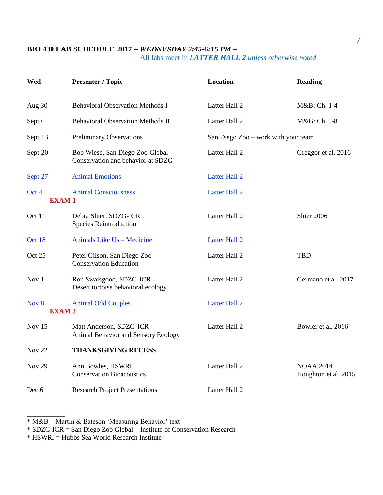#### **BIO 430 LAB SCHEDULE 2017 –** *WEDNESDAY 2:45-6:15 PM* **–** All labs meet in *LATTER HALL 2 unless otherwise noted*

| Wed                   | <b>Presenter / Topic</b>                                             | Location                            | <b>Reading</b>                           |
|-----------------------|----------------------------------------------------------------------|-------------------------------------|------------------------------------------|
|                       |                                                                      |                                     |                                          |
| Aug 30                | <b>Behavioral Observation Methods I</b>                              | Latter Hall 2                       | M&B: Ch. 1-4                             |
| Sept 6                | <b>Behavioral Observation Methods II</b>                             | Latter Hall 2                       | M&B: Ch. 5-8                             |
| Sept 13               | <b>Preliminary Observations</b>                                      | San Diego Zoo – work with your team |                                          |
| Sept 20               | Bob Wiese, San Diego Zoo Global<br>Conservation and behavior at SDZG | Latter Hall 2                       | Greggor et al. 2016                      |
| Sept 27               | <b>Animal Emotions</b>                                               | <b>Latter Hall 2</b>                |                                          |
| Oct 4<br><b>EXAM1</b> | <b>Animal Consciousness</b>                                          | <b>Latter Hall 2</b>                |                                          |
| Oct 11                | Debra Shier, SDZG-ICR<br><b>Species Reintroduction</b>               | Latter Hall 2                       | Shier 2006                               |
| Oct 18                | Animals Like Us - Medicine                                           | <b>Latter Hall 2</b>                |                                          |
| Oct 25                | Peter Gilson, San Diego Zoo<br><b>Conservation Education</b>         | Latter Hall 2                       | <b>TBD</b>                               |
| Nov 1                 | Ron Swaisgood, SDZG-ICR<br>Desert tortoise behavioral ecology        | Latter Hall 2                       | Germano et al. 2017                      |
| Nov 8<br><b>EXAM2</b> | <b>Animal Odd Couples</b>                                            | <b>Latter Hall 2</b>                |                                          |
| Nov 15                | Matt Anderson, SDZG-ICR<br>Animal Behavior and Sensory Ecology       | Latter Hall 2                       | Bowler et al. 2016                       |
| <b>Nov 22</b>         | <b>THANKSGIVING RECESS</b>                                           |                                     |                                          |
| <b>Nov 29</b>         | Ann Bowles, HSWRI<br><b>Conservation Bioacoustics</b>                | Latter Hall 2                       | <b>NOAA 2014</b><br>Houghton et al. 2015 |
| Dec 6                 | <b>Research Project Presentations</b>                                | Latter Hall 2                       |                                          |

 $*$  M&B = Martin & Bateson 'Measuring Behavior' text

\* SDZG-ICR = San Diego Zoo Global – Institute of Conservation Research

 $*$  HSWRI = Hubbs Sea World Research Institute

\_\_\_\_\_\_\_\_\_\_\_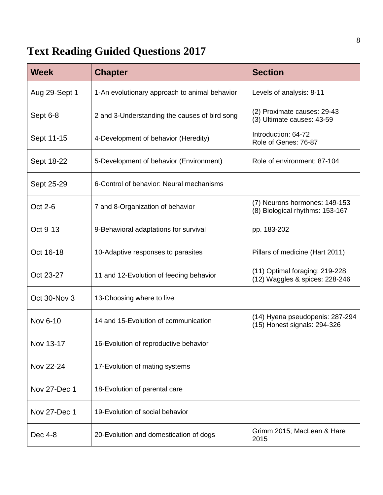# **Text Reading Guided Questions 2017**

| <b>Week</b>   | <b>Chapter</b>                                | <b>Section</b>                                                   |
|---------------|-----------------------------------------------|------------------------------------------------------------------|
| Aug 29-Sept 1 | 1-An evolutionary approach to animal behavior | Levels of analysis: 8-11                                         |
| Sept 6-8      | 2 and 3-Understanding the causes of bird song | (2) Proximate causes: 29-43<br>(3) Ultimate causes: 43-59        |
| Sept 11-15    | 4-Development of behavior (Heredity)          | Introduction: 64-72<br>Role of Genes: 76-87                      |
| Sept 18-22    | 5-Development of behavior (Environment)       | Role of environment: 87-104                                      |
| Sept 25-29    | 6-Control of behavior: Neural mechanisms      |                                                                  |
| Oct 2-6       | 7 and 8-Organization of behavior              | (7) Neurons hormones: 149-153<br>(8) Biological rhythms: 153-167 |
| Oct 9-13      | 9-Behavioral adaptations for survival         | pp. 183-202                                                      |
| Oct 16-18     | 10-Adaptive responses to parasites            | Pillars of medicine (Hart 2011)                                  |
| Oct 23-27     | 11 and 12-Evolution of feeding behavior       | (11) Optimal foraging: 219-228<br>(12) Waggles & spices: 228-246 |
| Oct 30-Nov 3  | 13-Choosing where to live                     |                                                                  |
| Nov 6-10      | 14 and 15-Evolution of communication          | (14) Hyena pseudopenis: 287-294<br>(15) Honest signals: 294-326  |
| Nov 13-17     | 16-Evolution of reproductive behavior         |                                                                  |
| Nov 22-24     | 17-Evolution of mating systems                |                                                                  |
| Nov 27-Dec 1  | 18-Evolution of parental care                 |                                                                  |
| Nov 27-Dec 1  | 19-Evolution of social behavior               |                                                                  |
| Dec 4-8       | 20-Evolution and domestication of dogs        | Grimm 2015; MacLean & Hare<br>2015                               |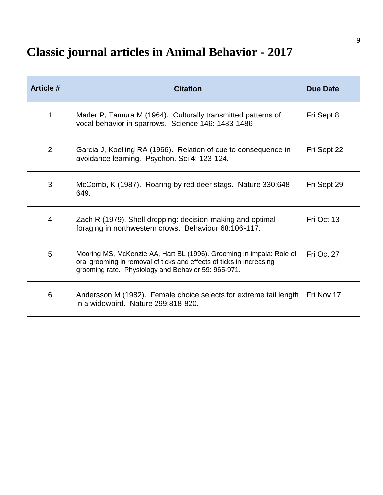# **Classic journal articles in Animal Behavior - 2017**

| <b>Article #</b> | <b>Citation</b>                                                                                                                                                                                     | <b>Due Date</b> |
|------------------|-----------------------------------------------------------------------------------------------------------------------------------------------------------------------------------------------------|-----------------|
| 1                | Marler P, Tamura M (1964). Culturally transmitted patterns of<br>vocal behavior in sparrows. Science 146: 1483-1486                                                                                 | Fri Sept 8      |
| 2                | Garcia J, Koelling RA (1966). Relation of cue to consequence in<br>avoidance learning. Psychon. Sci 4: 123-124.                                                                                     | Fri Sept 22     |
| 3                | McComb, K (1987). Roaring by red deer stags. Nature 330:648-<br>649.                                                                                                                                | Fri Sept 29     |
| $\overline{4}$   | Zach R (1979). Shell dropping: decision-making and optimal<br>foraging in northwestern crows. Behaviour 68:106-117.                                                                                 | Fri Oct 13      |
| 5                | Mooring MS, McKenzie AA, Hart BL (1996). Grooming in impala: Role of<br>oral grooming in removal of ticks and effects of ticks in increasing<br>grooming rate. Physiology and Behavior 59: 965-971. | Fri Oct 27      |
| 6                | Andersson M (1982). Female choice selects for extreme tail length<br>in a widowbird. Nature 299:818-820.                                                                                            | Fri Nov 17      |